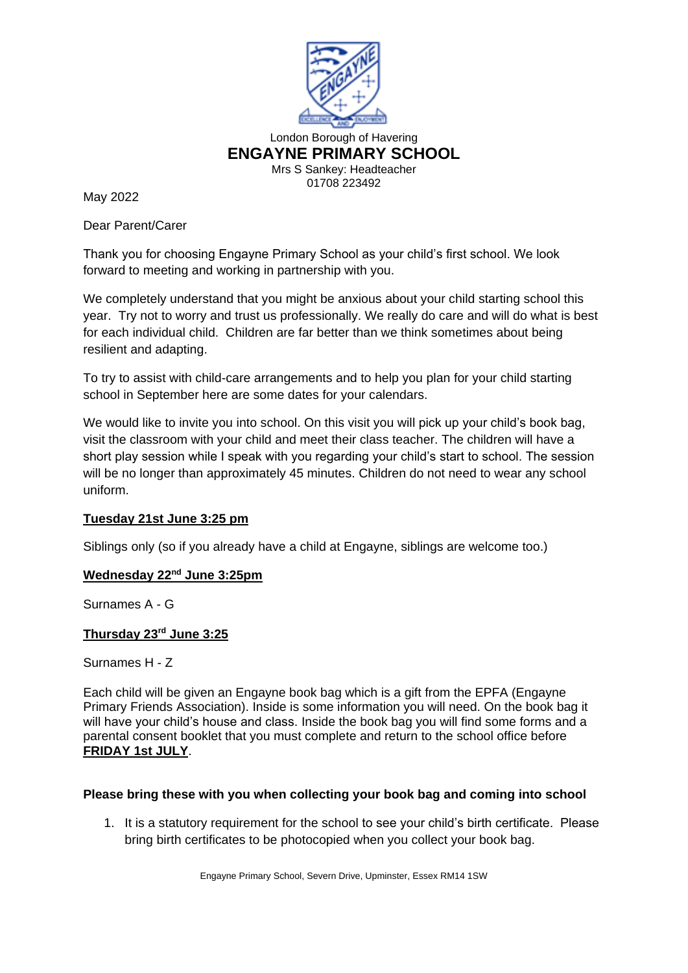

May 2022

Dear Parent/Carer

Thank you for choosing Engayne Primary School as your child's first school. We look forward to meeting and working in partnership with you.

We completely understand that you might be anxious about your child starting school this year. Try not to worry and trust us professionally. We really do care and will do what is best for each individual child. Children are far better than we think sometimes about being resilient and adapting.

To try to assist with child-care arrangements and to help you plan for your child starting school in September here are some dates for your calendars.

We would like to invite you into school. On this visit you will pick up your child's book bag, visit the classroom with your child and meet their class teacher. The children will have a short play session while I speak with you regarding your child's start to school. The session will be no longer than approximately 45 minutes. Children do not need to wear any school uniform.

## **Tuesday 21st June 3:25 pm**

Siblings only (so if you already have a child at Engayne, siblings are welcome too.)

## **Wednesday 22nd June 3:25pm**

Surnames A - G

## **Thursday 23rd June 3:25**

Surnames H - Z

Each child will be given an Engayne book bag which is a gift from the EPFA (Engayne Primary Friends Association). Inside is some information you will need. On the book bag it will have your child's house and class. Inside the book bag you will find some forms and a parental consent booklet that you must complete and return to the school office before **FRIDAY 1st JULY**.

## **Please bring these with you when collecting your book bag and coming into school**

1. It is a statutory requirement for the school to see your child's birth certificate. Please bring birth certificates to be photocopied when you collect your book bag.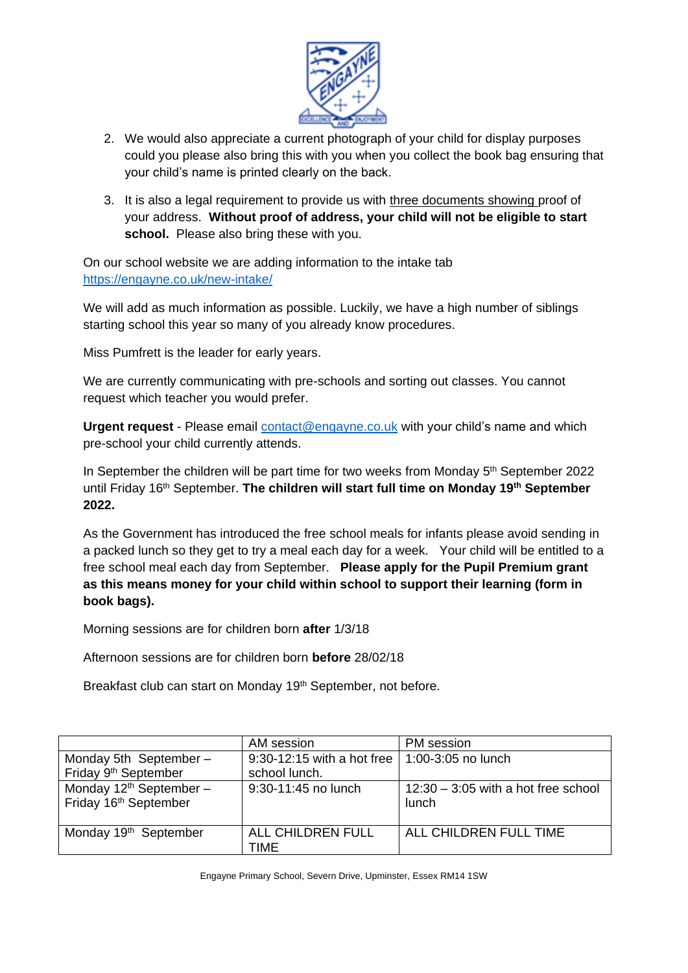

- 2. We would also appreciate a current photograph of your child for display purposes could you please also bring this with you when you collect the book bag ensuring that your child's name is printed clearly on the back.
- 3. It is also a legal requirement to provide us with three documents showing proof of your address. **Without proof of address, your child will not be eligible to start**  school. Please also bring these with you.

On our school website we are adding information to the intake tab <https://engayne.co.uk/new-intake/>

We will add as much information as possible. Luckily, we have a high number of siblings starting school this year so many of you already know procedures.

Miss Pumfrett is the leader for early years.

We are currently communicating with pre-schools and sorting out classes. You cannot request which teacher you would prefer.

**Urgent request** - Please email [contact@engayne.co.uk](mailto:contact@engayne.co.uk) with your child's name and which pre-school your child currently attends.

In September the children will be part time for two weeks from Monday 5<sup>th</sup> September 2022 until Friday 16<sup>th</sup> September. The children will start full time on Monday 19<sup>th</sup> September **2022.** 

As the Government has introduced the free school meals for infants please avoid sending in a packed lunch so they get to try a meal each day for a week. Your child will be entitled to a free school meal each day from September. **Please apply for the Pupil Premium grant as this means money for your child within school to support their learning (form in book bags).**

Morning sessions are for children born **after** 1/3/18

Afternoon sessions are for children born **before** 28/02/18

Breakfast club can start on Monday 19<sup>th</sup> September, not before.

|                                                                | AM session                         | PM session                                     |
|----------------------------------------------------------------|------------------------------------|------------------------------------------------|
| Monday 5th September-                                          | 9:30-12:15 with a hot free $\vert$ | 1:00-3:05 no lunch                             |
| Friday 9 <sup>th</sup> September                               | school lunch.                      |                                                |
| Monday $12th$ September –<br>Friday 16 <sup>th</sup> September | 9:30-11:45 no lunch                | $12:30 - 3:05$ with a hot free school<br>lunch |
| Monday 19 <sup>th</sup> September                              | ALL CHILDREN FULL<br>TIME          | ALL CHILDREN FULL TIME                         |

Engayne Primary School, Severn Drive, Upminster, Essex RM14 1SW